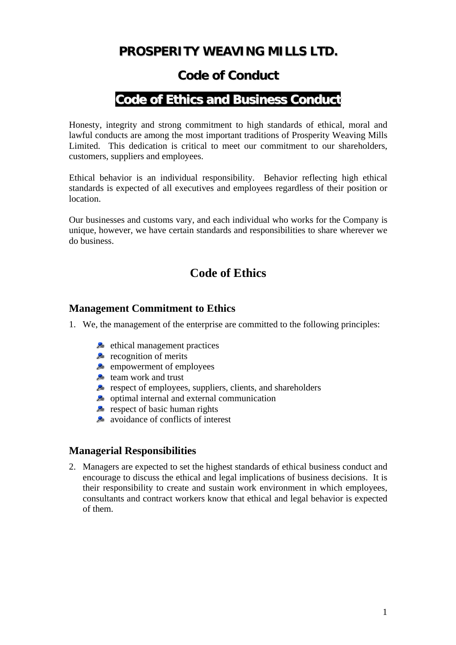# **PROSPERITY WEAVING MILLS LTD.**

## **Code of Conduct**

# **Code of Ethics and Business Conduct**

Honesty, integrity and strong commitment to high standards of ethical, moral and lawful conducts are among the most important traditions of Prosperity Weaving Mills Limited. This dedication is critical to meet our commitment to our shareholders, customers, suppliers and employees.

Ethical behavior is an individual responsibility. Behavior reflecting high ethical standards is expected of all executives and employees regardless of their position or location.

Our businesses and customs vary, and each individual who works for the Company is unique, however, we have certain standards and responsibilities to share wherever we do business.

## **Code of Ethics**

### **Management Commitment to Ethics**

- 1. We, the management of the enterprise are committed to the following principles:
	- $\blacktriangleright$  ethical management practices
	- $\epsilon$  recognition of merits
	- empowerment of employees
	- **the team work and trust**
	- **P** respect of employees, suppliers, clients, and shareholders
	- $\blacktriangleright$  optimal internal and external communication
	- $\blacktriangleright$  respect of basic human rights
	- **a** avoidance of conflicts of interest

### **Managerial Responsibilities**

2. Managers are expected to set the highest standards of ethical business conduct and encourage to discuss the ethical and legal implications of business decisions. It is their responsibility to create and sustain work environment in which employees, consultants and contract workers know that ethical and legal behavior is expected of them.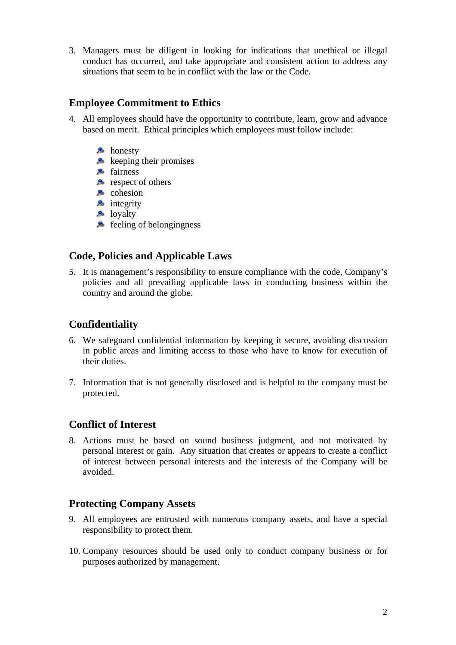3. Managers must be diligent in looking for indications that unethical or illegal conduct has occurred, and take appropriate and consistent action to address any situations that seem to be in conflict with the law or the Code.

## **Employee Commitment to Ethics**

- 4. All employees should have the opportunity to contribute, learn, grow and advance based on merit. Ethical principles which employees must follow include:
	- **A** honesty
	- $\blacktriangleright$  keeping their promises
	- **A** fairness
	- $\blacktriangleright$  respect of others
	- **2** cohesion
	- $\blacktriangleright$  integrity
	- $\blacktriangleright$  loyalty
	- $\blacktriangleright$  feeling of belongingness

### **Code, Policies and Applicable Laws**

5. It is management's responsibility to ensure compliance with the code, Company's policies and all prevailing applicable laws in conducting business within the country and around the globe.

### **Confidentiality**

- 6. We safeguard confidential information by keeping it secure, avoiding discussion in public areas and limiting access to those who have to know for execution of their duties.
- 7. Information that is not generally disclosed and is helpful to the company must be protected.

### **Conflict of Interest**

8. Actions must be based on sound business judgment, and not motivated by personal interest or gain. Any situation that creates or appears to create a conflict of interest between personal interests and the interests of the Company will be avoided.

### **Protecting Company Assets**

- 9. All employees are entrusted with numerous company assets, and have a special responsibility to protect them.
- 10. Company resources should be used only to conduct company business or for purposes authorized by management.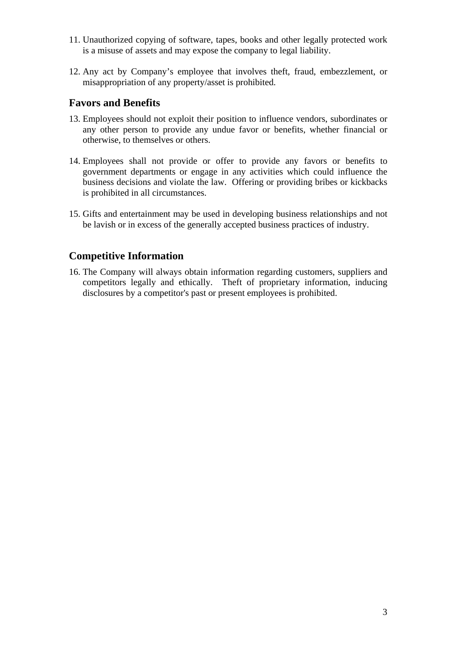- 11. Unauthorized copying of software, tapes, books and other legally protected work is a misuse of assets and may expose the company to legal liability.
- 12. Any act by Company's employee that involves theft, fraud, embezzlement, or misappropriation of any property/asset is prohibited.

### **Favors and Benefits**

- 13. Employees should not exploit their position to influence vendors, subordinates or any other person to provide any undue favor or benefits, whether financial or otherwise, to themselves or others.
- 14. Employees shall not provide or offer to provide any favors or benefits to government departments or engage in any activities which could influence the business decisions and violate the law. Offering or providing bribes or kickbacks is prohibited in all circumstances.
- 15. Gifts and entertainment may be used in developing business relationships and not be lavish or in excess of the generally accepted business practices of industry.

## **Competitive Information**

16. The Company will always obtain information regarding customers, suppliers and competitors legally and ethically. Theft of proprietary information, inducing disclosures by a competitor's past or present employees is prohibited.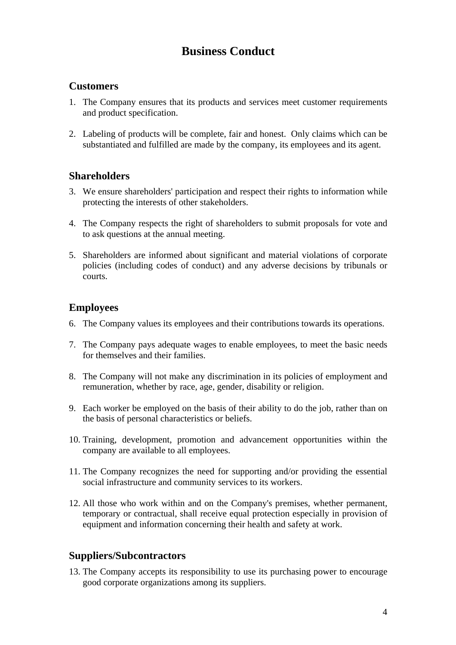# **Business Conduct**

### **Customers**

- 1. The Company ensures that its products and services meet customer requirements and product specification.
- 2. Labeling of products will be complete, fair and honest. Only claims which can be substantiated and fulfilled are made by the company, its employees and its agent.

### **Shareholders**

- 3. We ensure shareholders' participation and respect their rights to information while protecting the interests of other stakeholders.
- 4. The Company respects the right of shareholders to submit proposals for vote and to ask questions at the annual meeting.
- 5. Shareholders are informed about significant and material violations of corporate policies (including codes of conduct) and any adverse decisions by tribunals or courts.

### **Employees**

- 6. The Company values its employees and their contributions towards its operations.
- 7. The Company pays adequate wages to enable employees, to meet the basic needs for themselves and their families.
- 8. The Company will not make any discrimination in its policies of employment and remuneration, whether by race, age, gender, disability or religion.
- 9. Each worker be employed on the basis of their ability to do the job, rather than on the basis of personal characteristics or beliefs.
- 10. Training, development, promotion and advancement opportunities within the company are available to all employees.
- 11. The Company recognizes the need for supporting and/or providing the essential social infrastructure and community services to its workers.
- 12. All those who work within and on the Company's premises, whether permanent, temporary or contractual, shall receive equal protection especially in provision of equipment and information concerning their health and safety at work.

#### **Suppliers/Subcontractors**

13. The Company accepts its responsibility to use its purchasing power to encourage good corporate organizations among its suppliers.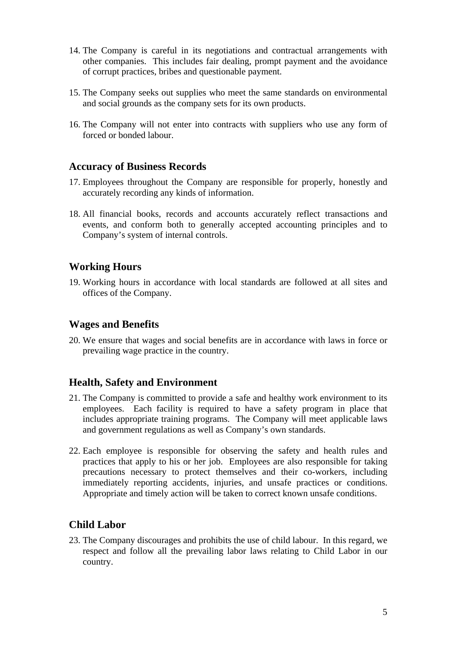- 14. The Company is careful in its negotiations and contractual arrangements with other companies. This includes fair dealing, prompt payment and the avoidance of corrupt practices, bribes and questionable payment.
- 15. The Company seeks out supplies who meet the same standards on environmental and social grounds as the company sets for its own products.
- 16. The Company will not enter into contracts with suppliers who use any form of forced or bonded labour.

#### **Accuracy of Business Records**

- 17. Employees throughout the Company are responsible for properly, honestly and accurately recording any kinds of information.
- 18. All financial books, records and accounts accurately reflect transactions and events, and conform both to generally accepted accounting principles and to Company's system of internal controls.

#### **Working Hours**

19. Working hours in accordance with local standards are followed at all sites and offices of the Company.

#### **Wages and Benefits**

20. We ensure that wages and social benefits are in accordance with laws in force or prevailing wage practice in the country.

#### **Health, Safety and Environment**

- 21. The Company is committed to provide a safe and healthy work environment to its employees. Each facility is required to have a safety program in place that includes appropriate training programs. The Company will meet applicable laws and government regulations as well as Company's own standards.
- 22. Each employee is responsible for observing the safety and health rules and practices that apply to his or her job. Employees are also responsible for taking precautions necessary to protect themselves and their co-workers, including immediately reporting accidents, injuries, and unsafe practices or conditions. Appropriate and timely action will be taken to correct known unsafe conditions.

### **Child Labor**

23. The Company discourages and prohibits the use of child labour. In this regard, we respect and follow all the prevailing labor laws relating to Child Labor in our country.